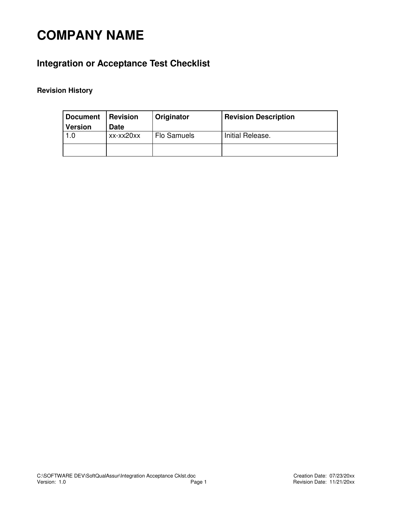# **COMPANY NAME**

## **Integration or Acceptance Test Checklist**

### **Revision History**

| <b>Document</b> | <b>Revision</b> | Originator  | <b>Revision Description</b> |
|-----------------|-----------------|-------------|-----------------------------|
| <b>Version</b>  | <b>Date</b>     |             |                             |
|                 | xx-xx20xx       | Flo Samuels | Initial Release.            |
|                 |                 |             |                             |